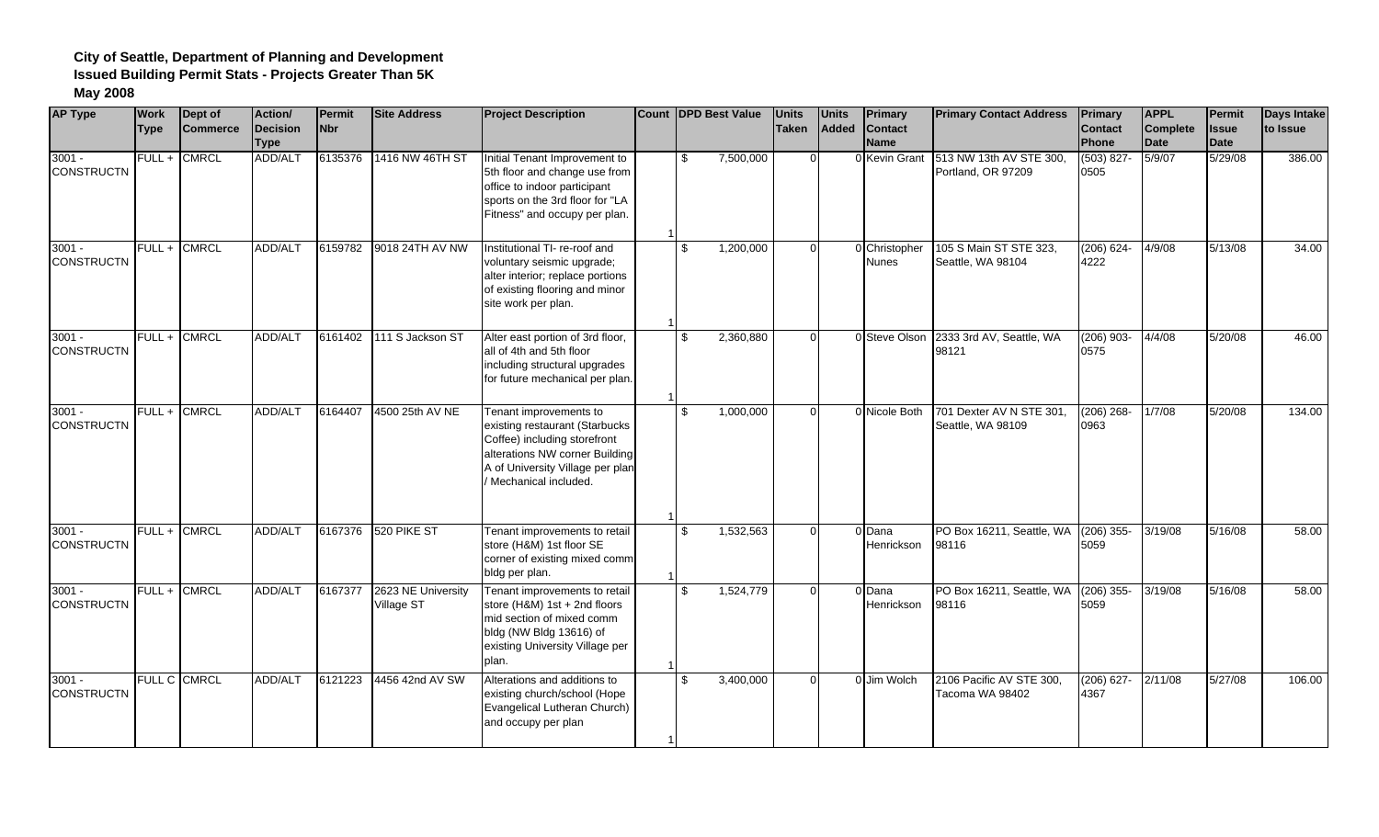| <b>AP Type</b>                | <b>Work</b><br><b>Type</b> | Dept of<br><b>Commerce</b> | Action/<br><b>IDecision</b><br><b>Type</b> | <b>Permit</b><br><b>Nbr</b> | <b>Site Address</b>              | <b>Project Description</b>                                                                                                                                                             | Count DPD Best Value        | <b>Units</b><br><b>Taken</b> | <b>Units</b><br>Added | <b>Primary</b><br><b>Contact</b><br><b>Name</b> | <b>Primary Contact Address</b>                | Primary<br>Contact<br>Phone | <b>APPL</b><br>Complete<br><b>Date</b> | Permit<br><b>Issue</b><br><b>Date</b> | <b>Days Intake</b><br>to Issue |
|-------------------------------|----------------------------|----------------------------|--------------------------------------------|-----------------------------|----------------------------------|----------------------------------------------------------------------------------------------------------------------------------------------------------------------------------------|-----------------------------|------------------------------|-----------------------|-------------------------------------------------|-----------------------------------------------|-----------------------------|----------------------------------------|---------------------------------------|--------------------------------|
| $3001 -$<br><b>CONSTRUCTN</b> | FULL+                      | <b>CMRCL</b>               | <b>ADD/ALT</b>                             | 6135376                     | 1416 NW 46TH ST                  | Initial Tenant Improvement to<br>5th floor and change use from<br>office to indoor participant<br>sports on the 3rd floor for "LA<br>Fitness" and occupy per plan.                     | 7,500,000<br>\$.            | $\Omega$                     |                       | 0 Kevin Grant                                   | 513 NW 13th AV STE 300.<br>Portland, OR 97209 | $(503) 827 -$<br>0505       | 5/9/07                                 | 5/29/08                               | 386.00                         |
| $3001 -$<br><b>CONSTRUCTN</b> |                            | FULL + CMRCL               | <b>ADD/ALT</b>                             | 6159782                     | 9018 24TH AV NW                  | Institutional TI- re-roof and<br>voluntary seismic upgrade;<br>alter interior; replace portions<br>of existing flooring and minor<br>site work per plan.                               | 1,200,000<br>\$             | $\Omega$                     |                       | 0 Christopher<br><b>Nunes</b>                   | 105 S Main ST STE 323,<br>Seattle, WA 98104   | $(206) 624 -$<br>4222       | 4/9/08                                 | 5/13/08                               | 34.00                          |
| $3001 -$<br><b>CONSTRUCTN</b> | $FULL +$                   | <b>CMRCL</b>               | <b>ADD/ALT</b>                             | 6161402                     | 111 S Jackson ST                 | Alter east portion of 3rd floor,<br>all of 4th and 5th floor<br>including structural upgrades<br>for future mechanical per plan.                                                       | 2,360,880<br>\$             | $\Omega$                     |                       | 0 Steve Olson                                   | 2333 3rd AV, Seattle, WA<br>98121             | $(206)$ 903-<br>0575        | 4/4/08                                 | 5/20/08                               | 46.00                          |
| $3001 -$<br><b>CONSTRUCTN</b> |                            | FULL + CMRCL               | ADD/ALT                                    | 6164407                     | 4500 25th AV NE                  | Tenant improvements to<br>existing restaurant (Starbucks<br>Coffee) including storefront<br>alterations NW corner Building<br>A of University Village per plar<br>Mechanical included. | 1,000,000<br>\$             | $\Omega$                     |                       | 0 Nicole Both                                   | 701 Dexter AV N STE 301,<br>Seattle, WA 98109 | $(206)$ 268-<br>0963        | 1/7/08                                 | 5/20/08                               | 134.00                         |
| $3001 -$<br><b>CONSTRUCTN</b> |                            | FULL + CMRCL               | ADD/ALT                                    |                             | 6167376 520 PIKE ST              | Tenant improvements to retail<br>store (H&M) 1st floor SE<br>corner of existing mixed comm<br>bldg per plan.                                                                           | 1,532,563<br>\$.            | $\Omega$                     |                       | 0 Dana<br>Henrickson                            | PO Box 16211, Seattle, WA<br>98116            | $(206)$ 355-<br>5059        | 3/19/08                                | 5/16/08                               | 58.00                          |
| $3001 -$<br><b>CONSTRUCTN</b> | $FULL +$                   | <b>CMRCL</b>               | <b>ADD/ALT</b>                             | 6167377                     | 2623 NE University<br>Village ST | Tenant improvements to retail<br>store (H&M) 1st + 2nd floors<br>mid section of mixed comm<br>bldg (NW Bldg 13616) of<br>existing University Village per<br>plan.                      | 1,524,779<br>$\mathfrak{L}$ | $\Omega$                     |                       | 0 Dana<br>Henrickson                            | PO Box 16211, Seattle, WA<br>98116            | $(206)$ 355-<br>5059        | 3/19/08                                | 5/16/08                               | 58.00                          |
| $3001 -$<br><b>CONSTRUCTN</b> |                            | FULL C CMRCL               | ADD/ALT                                    | 6121223                     | 4456 42nd AV SW                  | Alterations and additions to<br>existing church/school (Hope<br>Evangelical Lutheran Church)<br>and occupy per plan                                                                    | 3,400,000<br>\$             | $\Omega$                     |                       | 0 Jim Wolch                                     | 2106 Pacific AV STE 300.<br>Tacoma WA 98402   | $(206)$ 627-<br>4367        | 2/11/08                                | 5/27/08                               | 106.00                         |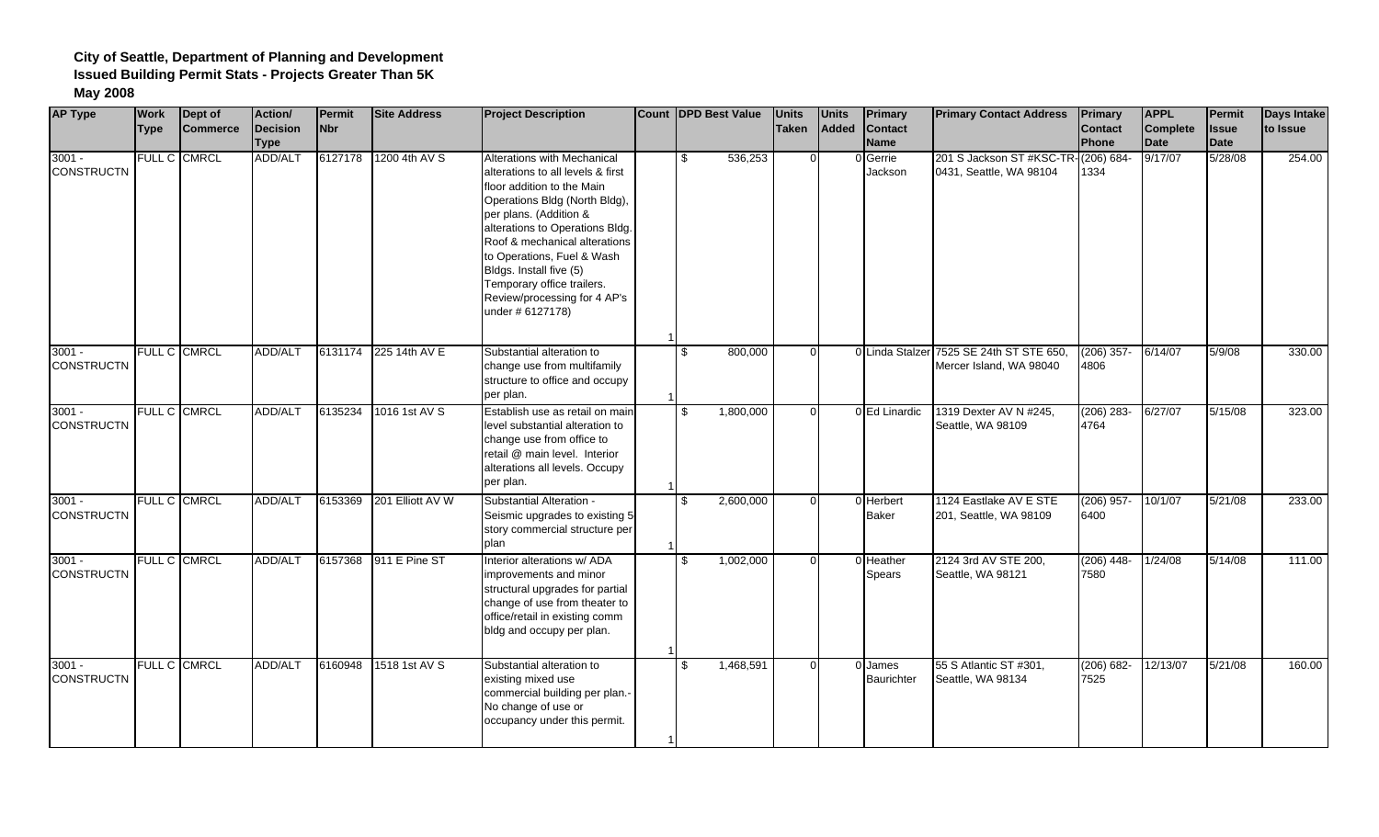| <b>AP Type</b>                | <b>Work</b><br><b>Type</b> | Dept of<br><b>Commerce</b> | Action/<br>Decision<br><b>Type</b> | Permit<br><b>Nbr</b> | <b>Site Address</b> | <b>Project Description</b>                                                                                                                                                                                                                                                                                                                                               | Count DPD Best Value      | <b>Units</b><br><b>Taken</b> | <b>Units</b><br>Added | <b>Primary</b><br><b>Contact</b><br><b>Name</b> | <b>Primary Contact Address</b>                       | <b>Primary</b><br>Contact<br>Phone | <b>APPL</b><br>Complete<br><b>Date</b> | <b>Permit</b><br><b>Issue</b><br><b>Date</b> | <b>Days Intake</b><br>to Issue |
|-------------------------------|----------------------------|----------------------------|------------------------------------|----------------------|---------------------|--------------------------------------------------------------------------------------------------------------------------------------------------------------------------------------------------------------------------------------------------------------------------------------------------------------------------------------------------------------------------|---------------------------|------------------------------|-----------------------|-------------------------------------------------|------------------------------------------------------|------------------------------------|----------------------------------------|----------------------------------------------|--------------------------------|
| $3001 -$<br><b>CONSTRUCTN</b> |                            | FULL C CMRCL               | ADD/ALT                            | 6127178              | 1200 4th AV S       | Alterations with Mechanical<br>alterations to all levels & first<br>floor addition to the Main<br>Operations Bldg (North Bldg),<br>per plans. (Addition &<br>alterations to Operations Bldg.<br>Roof & mechanical alterations<br>to Operations, Fuel & Wash<br>Bldgs. Install five (5)<br>Temporary office trailers.<br>Review/processing for 4 AP's<br>under # 6127178) | 536,253<br>\$             | $\Omega$                     |                       | 0 Gerrie<br>Jackson                             | 201 S Jackson ST #KSC-TR-<br>0431, Seattle, WA 98104 | $(206) 684 -$<br>1334              | 9/17/07                                | 5/28/08                                      | 254.00                         |
| $3001 -$<br><b>CONSTRUCTN</b> |                            | FULL C CMRCL               | ADD/ALT                            | 6131174              | 225 14th AV E       | Substantial alteration to<br>change use from multifamily<br>structure to office and occupy<br>per plan.                                                                                                                                                                                                                                                                  | $\mathfrak{L}$<br>800,000 | $\Omega$                     |                       | 0 Linda Stalzer                                 | 7525 SE 24th ST STE 650,<br>Mercer Island, WA 98040  | $(206)$ 357-<br>4806               | 6/14/07                                | 5/9/08                                       | 330.00                         |
| $3001 -$<br><b>CONSTRUCTN</b> |                            | FULL C CMRCL               | ADD/ALT                            | 6135234              | 1016 1st AV S       | Establish use as retail on mair<br>level substantial alteration to<br>change use from office to<br>retail @ main level. Interior<br>alterations all levels. Occupy<br>per plan.                                                                                                                                                                                          | 1,800,000<br>\$           | $\Omega$                     |                       | 0 Ed Linardic                                   | 1319 Dexter AV N #245,<br>Seattle, WA 98109          | $(206) 283 -$<br>4764              | 6/27/07                                | 5/15/08                                      | 323.00                         |
| $3001 -$<br><b>CONSTRUCTN</b> |                            | <b>FULL C CMRCL</b>        | ADD/ALT                            | 6153369              | 201 Elliott AV W    | Substantial Alteration -<br>Seismic upgrades to existing 5<br>story commercial structure per<br>plan                                                                                                                                                                                                                                                                     | 2,600,000<br>\$.          | $\Omega$                     |                       | 0 Herbert<br><b>Baker</b>                       | 1124 Eastlake AV E STE<br>201, Seattle, WA 98109     | $(206)$ 957-<br>6400               | 10/1/07                                | 5/21/08                                      | 233.00                         |
| $3001 -$<br><b>CONSTRUCTN</b> |                            | FULL C CMRCL               | <b>ADD/ALT</b>                     | 6157368              | 911 E Pine ST       | Interior alterations w/ ADA<br>improvements and minor<br>structural upgrades for partial<br>change of use from theater to<br>office/retail in existing comm<br>bldg and occupy per plan.                                                                                                                                                                                 | 1,002,000<br>\$           | $\Omega$                     |                       | 0 Heather<br>Spears                             | 2124 3rd AV STE 200,<br>Seattle, WA 98121            | $(206)$ 448-<br>7580               | 1/24/08                                | 5/14/08                                      | 111.00                         |
| $3001 -$<br><b>CONSTRUCTN</b> |                            | FULL C CMRCL               | ADD/ALT                            | 6160948              | 1518 1st AV S       | Substantial alteration to<br>existing mixed use<br>commercial building per plan.<br>No change of use or<br>occupancy under this permit.                                                                                                                                                                                                                                  | 1,468,591<br>\$           | $\Omega$                     |                       | 0 James<br>Baurichter                           | 55 S Atlantic ST #301,<br>Seattle, WA 98134          | $(206) 682 -$<br>7525              | 12/13/07                               | 5/21/08                                      | 160.00                         |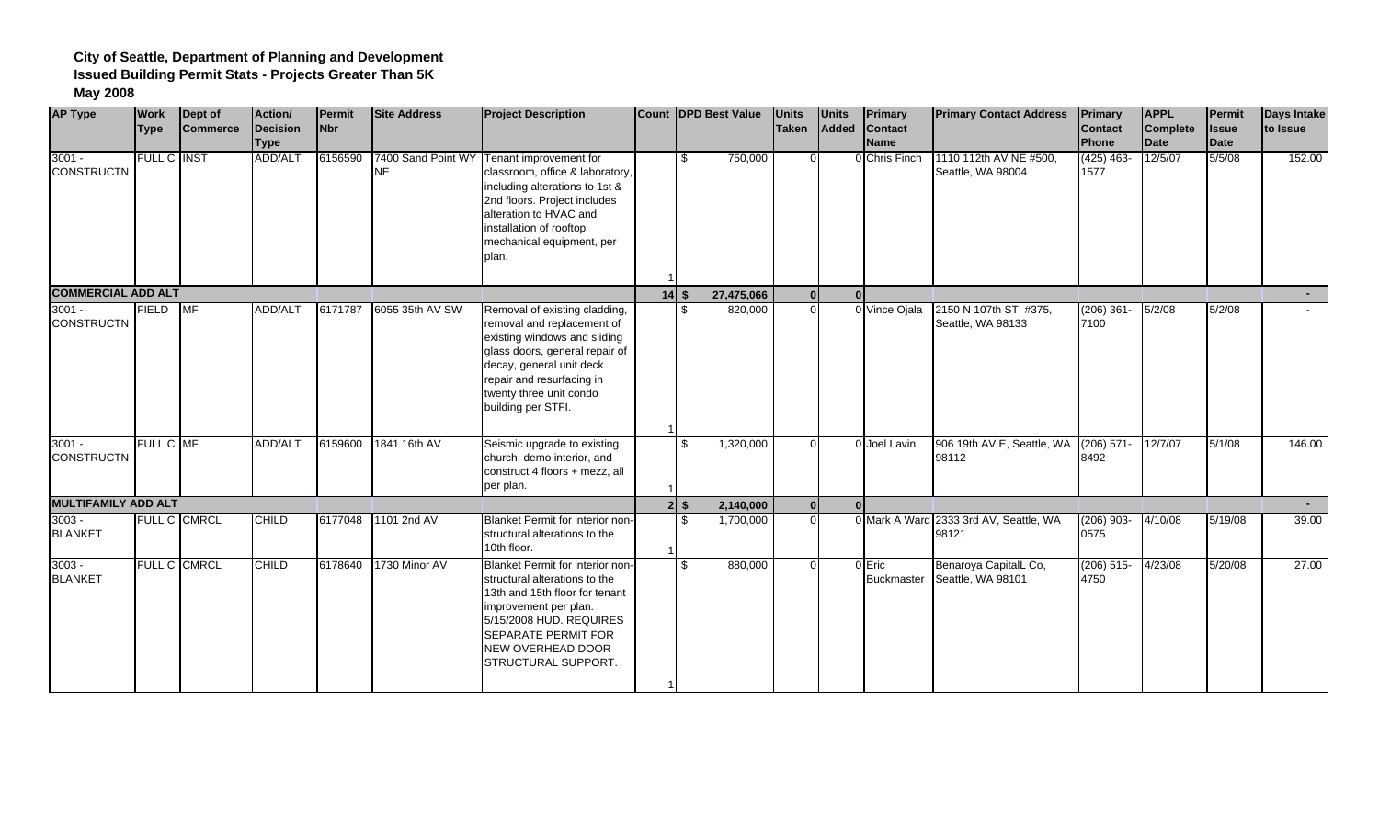| <b>AP Type</b>                | <b>Work</b>  | Dept of         | Action/                 | Permit     | <b>Site Address</b> | <b>Project Description</b>                                                                                                                                                                                                                | <b>Count DPD Best Value</b> | <b>Units</b> | <b>Units</b> | Primary                       | <b>Primary Contact Address</b>                  | <b>Primary</b>       | <b>APPL</b>             | Permit               | <b>Days Intake</b> |
|-------------------------------|--------------|-----------------|-------------------------|------------|---------------------|-------------------------------------------------------------------------------------------------------------------------------------------------------------------------------------------------------------------------------------------|-----------------------------|--------------|--------------|-------------------------------|-------------------------------------------------|----------------------|-------------------------|----------------------|--------------------|
|                               | <b>Type</b>  | <b>Commerce</b> | Decision<br><b>Type</b> | <b>Nbr</b> |                     |                                                                                                                                                                                                                                           |                             | Taken        | Added        | <b>Contact</b><br><b>Name</b> |                                                 | Contact<br>Phone     | <b>Complete</b><br>Date | <b>Issue</b><br>Date | to Issue           |
| $3001 -$<br><b>CONSTRUCTN</b> | FULL C INST  |                 | <b>ADD/ALT</b>          | 6156590    | <b>NE</b>           | 7400 Sand Point WY Tenant improvement for<br>classroom, office & laboratory,<br>including alterations to 1st &<br>2nd floors. Project includes<br>alteration to HVAC and<br>installation of rooftop<br>mechanical equipment, per<br>plan. | 750,000<br>\$               | $\Omega$     |              | 0 Chris Finch                 | 1110 112th AV NE #500,<br>Seattle, WA 98004     | $(425)$ 463-<br>1577 | 12/5/07                 | 5/5/08               | 152.00             |
| <b>COMMERCIAL ADD ALT</b>     |              |                 |                         |            |                     |                                                                                                                                                                                                                                           | $14$ \$<br>27,475,066       | 0l           |              |                               |                                                 |                      |                         |                      |                    |
| $3001 -$<br><b>CONSTRUCTN</b> | <b>FIELD</b> | <b>MF</b>       | ADD/ALT                 | 6171787    | 6055 35th AV SW     | Removal of existing cladding,<br>removal and replacement of<br>existing windows and sliding<br>glass doors, general repair of<br>decay, general unit deck<br>repair and resurfacing in<br>twenty three unit condo<br>building per STFI.   | $\mathfrak{L}$<br>820,000   | $\Omega$     |              | 0 Vince Ojala                 | 2150 N 107th ST #375,<br>Seattle, WA 98133      | $(206)$ 361-<br>7100 | 5/2/08                  | 5/2/08               |                    |
| $3001 -$<br><b>CONSTRUCTN</b> | FULL C MF    |                 | <b>ADD/ALT</b>          | 6159600    | 1841 16th AV        | Seismic upgrade to existing<br>church, demo interior, and<br>construct 4 floors + mezz, all<br>per plan.                                                                                                                                  | 1,320,000<br>\$             | $\Omega$     |              | 0 Joel Lavin                  | 906 19th AV E, Seattle, WA<br>98112             | $(206)$ 571-<br>8492 | 12/7/07                 | 5/1/08               | 146.00             |
| <b>MULTIFAMILY ADD ALT</b>    |              |                 |                         |            |                     |                                                                                                                                                                                                                                           | 2,140,000<br>$2$ \$         | 0l           |              |                               |                                                 |                      |                         |                      | $\sim$             |
| $3003 -$<br><b>BLANKET</b>    |              | FULL C CMRCL    | <b>CHILD</b>            |            | 6177048 1101 2nd AV | Blanket Permit for interior non-<br>structural alterations to the<br>10th floor.                                                                                                                                                          | 1,700,000<br>\$             | $\Omega$     |              |                               | 0 Mark A Ward 2333 3rd AV, Seattle, WA<br>98121 | $(206)$ 903-<br>0575 | 4/10/08                 | 5/19/08              | 39.00              |
| $3003 -$<br><b>BLANKET</b>    |              | FULL C CMRCL    | <b>CHILD</b>            | 6178640    | 1730 Minor AV       | Blanket Permit for interior non-<br>structural alterations to the<br>13th and 15th floor for tenant<br>improvement per plan.<br>5/15/2008 HUD. REQUIRES<br><b>SEPARATE PERMIT FOR</b><br>NEW OVERHEAD DOOR<br>STRUCTURAL SUPPORT.         | 880,000<br>£.               | $\Omega$     |              | 0 Eric<br><b>Buckmaster</b>   | Benaroya CapitalL Co,<br>Seattle, WA 98101      | $(206)$ 515-<br>4750 | 4/23/08                 | 5/20/08              | 27.00              |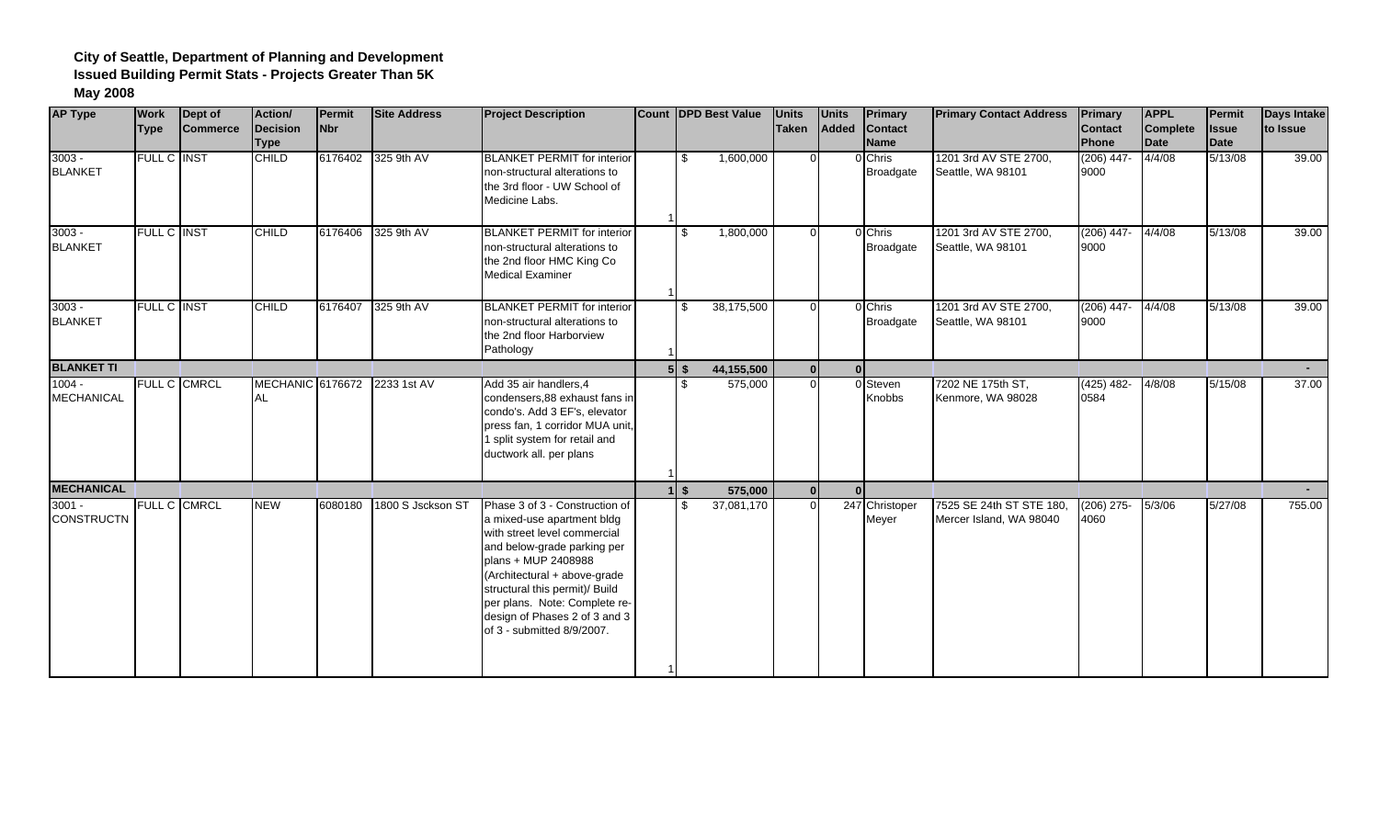| <b>AP Type</b>                | <b>Work</b><br><b>Type</b> | Dept of<br><b>Commerce</b> | Action/<br>Decision<br><b>Type</b>   | Permit<br><b>Nbr</b> | <b>Site Address</b> | <b>Project Description</b>                                                                                                                                                                                                                                                                                           | Count IDPD Best Value             | <b>Units</b><br>Taken | <b>Units</b><br>Added | <b>Primary</b><br><b>Contact</b><br><b>Name</b> | <b>Primary Contact Address</b>                      | <b>Primary</b><br><b>Contact</b><br>Phone | <b>APPL</b><br><b>Complete</b><br>Date | Permit<br><b>Issue</b><br><b>Date</b> | <b>Days Intake</b><br>to Issue |
|-------------------------------|----------------------------|----------------------------|--------------------------------------|----------------------|---------------------|----------------------------------------------------------------------------------------------------------------------------------------------------------------------------------------------------------------------------------------------------------------------------------------------------------------------|-----------------------------------|-----------------------|-----------------------|-------------------------------------------------|-----------------------------------------------------|-------------------------------------------|----------------------------------------|---------------------------------------|--------------------------------|
| $3003 -$<br><b>BLANKET</b>    | <b>FULL C INST</b>         |                            | <b>CHILD</b>                         | 6176402              | 325 9th AV          | <b>BLANKET PERMIT for interior</b><br>non-structural alterations to<br>the 3rd floor - UW School of<br>Medicine Labs.                                                                                                                                                                                                | \$<br>1,600,000                   | $\Omega$              |                       | 0 Chris<br>Broadgate                            | 1201 3rd AV STE 2700.<br>Seattle, WA 98101          | $(206)$ 447-<br>9000                      | 4/4/08                                 | 5/13/08                               | 39.00                          |
| $3003 -$<br><b>BLANKET</b>    | FULL C INST                |                            | <b>CHILD</b>                         | 6176406              | 325 9th AV          | <b>BLANKET PERMIT for interior</b><br>non-structural alterations to<br>the 2nd floor HMC King Co<br><b>Medical Examiner</b>                                                                                                                                                                                          | 1,800,000<br>\$                   | $\Omega$              |                       | 0 Chris<br><b>Broadgate</b>                     | 1201 3rd AV STE 2700,<br>Seattle, WA 98101          | $(206)$ 447-<br>9000                      | 4/4/08                                 | 5/13/08                               | 39.00                          |
| $3003 -$<br><b>BLANKET</b>    | <b>FULL C INST</b>         |                            | <b>CHILD</b>                         | 6176407              | 325 9th AV          | <b>BLANKET PERMIT for interior</b><br>non-structural alterations to<br>the 2nd floor Harborview<br>Pathology                                                                                                                                                                                                         | 38,175,500<br>\$                  | $\Omega$              |                       | 0 Chris<br><b>Broadgate</b>                     | 1201 3rd AV STE 2700.<br>Seattle, WA 98101          | $(206)$ 447-<br>9000                      | 4/4/08                                 | 5/13/08                               | 39.00                          |
| <b>BLANKET TI</b>             |                            |                            |                                      |                      |                     |                                                                                                                                                                                                                                                                                                                      | $5$ \ $\frac{2}{3}$<br>44,155,500 | $\Omega$              |                       | $\Omega$                                        |                                                     |                                           |                                        |                                       | $\sim$                         |
| $1004 -$<br><b>MECHANICAL</b> |                            | FULL C CMRCL               | <b>MECHANIC 6176672</b><br><b>AL</b> |                      | 2233 1st AV         | Add 35 air handlers, 4<br>condensers.88 exhaust fans in<br>condo's. Add 3 EF's, elevator<br>press fan, 1 corridor MUA unit,<br>1 split system for retail and<br>ductwork all. per plans                                                                                                                              | 575,000<br>\$.                    | $\Omega$              |                       | 0 Steven<br><b>Knobbs</b>                       | 7202 NE 175th ST,<br>Kenmore, WA 98028              | $(425)$ 482-<br>0584                      | 4/8/08                                 | 5/15/08                               | 37.00                          |
| <b>MECHANICAL</b>             |                            |                            |                                      |                      |                     |                                                                                                                                                                                                                                                                                                                      | 575,000<br>$1$ \$                 | $\mathbf{0}$          |                       | $\Omega$                                        |                                                     |                                           |                                        |                                       |                                |
| $3001 -$<br><b>CONSTRUCTN</b> |                            | FULL C CMRCL               | <b>NEW</b>                           | 6080180              | 1800 S Jsckson ST   | Phase 3 of 3 - Construction of<br>a mixed-use apartment bldg<br>with street level commercial<br>and below-grade parking per<br>plans + MUP 2408988<br>(Architectural + above-grade<br>structural this permit)/ Build<br>per plans. Note: Complete re-<br>design of Phases 2 of 3 and 3<br>of 3 - submitted 8/9/2007. | 37,081,170<br>\$                  | $\Omega$              |                       | 247 Christoper<br>Meyer                         | 7525 SE 24th ST STE 180,<br>Mercer Island, WA 98040 | $(206)$ 275-<br>4060                      | 5/3/06                                 | 5/27/08                               | 755.00                         |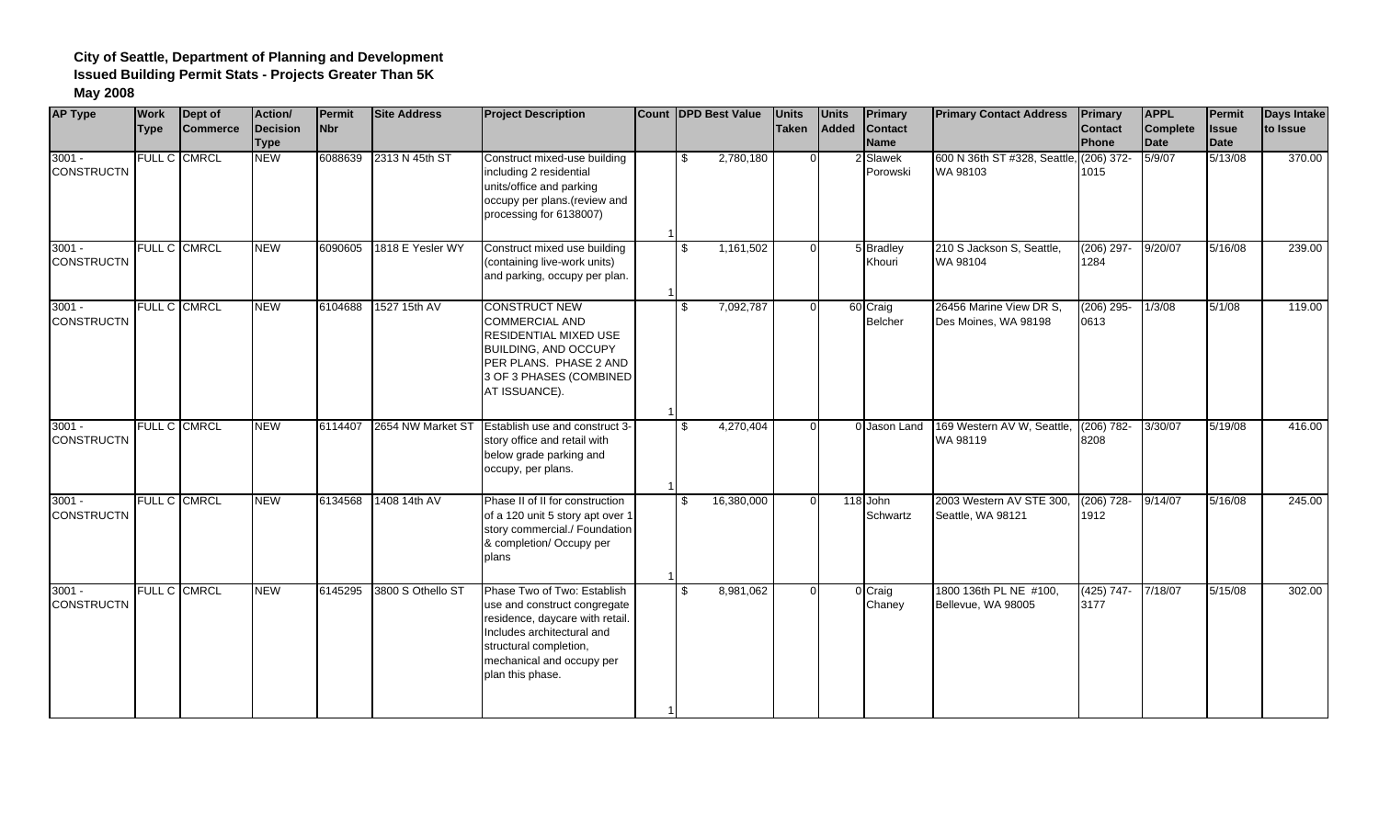| <b>AP Type</b>                | <b>Work</b><br><b>Type</b> | Dept of<br><b>Commerce</b> | Action/<br>Decision<br><b>Type</b> | Permit<br><b>Nbr</b> | <b>Site Address</b> | <b>Project Description</b>                                                                                                                                                                              | <b>Count IDPD Best Value</b> | <b>Units</b><br><b>Taken</b> | <b>Units</b><br>Added | <b>Primary</b><br><b>Contact</b><br><b>Name</b> | <b>Primary Contact Address</b>                      | Primary<br><b>Contact</b><br>Phone | <b>APPL</b><br><b>Complete</b><br>Date | Permit<br><b>Issue</b><br>Date | <b>Days Intake</b><br>to Issue |
|-------------------------------|----------------------------|----------------------------|------------------------------------|----------------------|---------------------|---------------------------------------------------------------------------------------------------------------------------------------------------------------------------------------------------------|------------------------------|------------------------------|-----------------------|-------------------------------------------------|-----------------------------------------------------|------------------------------------|----------------------------------------|--------------------------------|--------------------------------|
| $3001 -$<br><b>CONSTRUCTN</b> | <b>FULL C CMRCL</b>        |                            | <b>NEW</b>                         | 6088639              | 2313 N 45th ST      | Construct mixed-use building<br>including 2 residential<br>units/office and parking<br>occupy per plans.(review and<br>processing for 6138007)                                                          | 2,780,180<br>\$              | $\Omega$                     |                       | 2 Slawek<br>Porowski                            | 600 N 36th ST #328, Seattle, (206) 372-<br>WA 98103 | 1015                               | 5/9/07                                 | 5/13/08                        | 370.00                         |
| $3001 -$<br><b>CONSTRUCTN</b> | <b>FULL C CMRCL</b>        |                            | <b>NEW</b>                         | 6090605              | 1818 E Yesler WY    | Construct mixed use building<br>(containing live-work units)<br>and parking, occupy per plan.                                                                                                           | 1,161,502<br>\$              | $\Omega$                     |                       | 5 Bradley<br>Khouri                             | 210 S Jackson S, Seattle,<br>WA 98104               | $(206)$ 297-<br>1284               | 9/20/07                                | 5/16/08                        | 239.00                         |
| $3001 -$<br><b>CONSTRUCTN</b> | <b>FULL C CMRCL</b>        |                            | <b>NEW</b>                         | 6104688              | 1527 15th AV        | <b>CONSTRUCT NEW</b><br><b>COMMERCIAL AND</b><br><b>RESIDENTIAL MIXED USE</b><br><b>BUILDING, AND OCCUPY</b><br>PER PLANS. PHASE 2 AND<br>3 OF 3 PHASES (COMBINED<br>AT ISSUANCE).                      | 7,092,787<br>\$              | $\Omega$                     |                       | 60 Craig<br><b>Belcher</b>                      | 26456 Marine View DR S,<br>Des Moines, WA 98198     | $(206)$ 295-<br>0613               | 1/3/08                                 | 5/1/08                         | 119.00                         |
| $3001 -$<br><b>CONSTRUCTN</b> | <b>FULL C CMRCL</b>        |                            | <b>NEW</b>                         | 6114407              | 2654 NW Market ST   | Establish use and construct 3-<br>story office and retail with<br>below grade parking and<br>occupy, per plans.                                                                                         | 4,270,404<br>$\mathfrak{L}$  | $\Omega$                     |                       | 0 Jason Land                                    | 169 Western AV W, Seattle,<br>WA 98119              | $(206) 782 -$<br>8208              | 3/30/07                                | 5/19/08                        | 416.00                         |
| $3001 -$<br><b>CONSTRUCTN</b> | <b>FULL C CMRCL</b>        |                            | <b>NEW</b>                         | 6134568              | 1408 14th AV        | Phase II of II for construction<br>of a 120 unit 5 story apt over 1<br>story commercial./ Foundation<br>& completion/ Occupy per<br>plans                                                               | 16,380,000<br>\$             | $\Omega$                     |                       | 118 John<br>Schwartz                            | 2003 Western AV STE 300,<br>Seattle, WA 98121       | $(206)$ 728-<br>1912               | 9/14/07                                | 5/16/08                        | 245.00                         |
| $3001 -$<br><b>CONSTRUCTN</b> | FULL C CMRCL               |                            | <b>NEW</b>                         | 6145295              | 3800 S Othello ST   | Phase Two of Two: Establish<br>use and construct congregate<br>residence, daycare with retail.<br>Includes architectural and<br>structural completion,<br>mechanical and occupy per<br>plan this phase. | 8,981,062<br>\$              | $\Omega$                     |                       | 0 Craig<br>Chaney                               | 1800 136th PL NE #100,<br>Bellevue, WA 98005        | $(425)$ 747-<br>3177               | 7/18/07                                | 5/15/08                        | 302.00                         |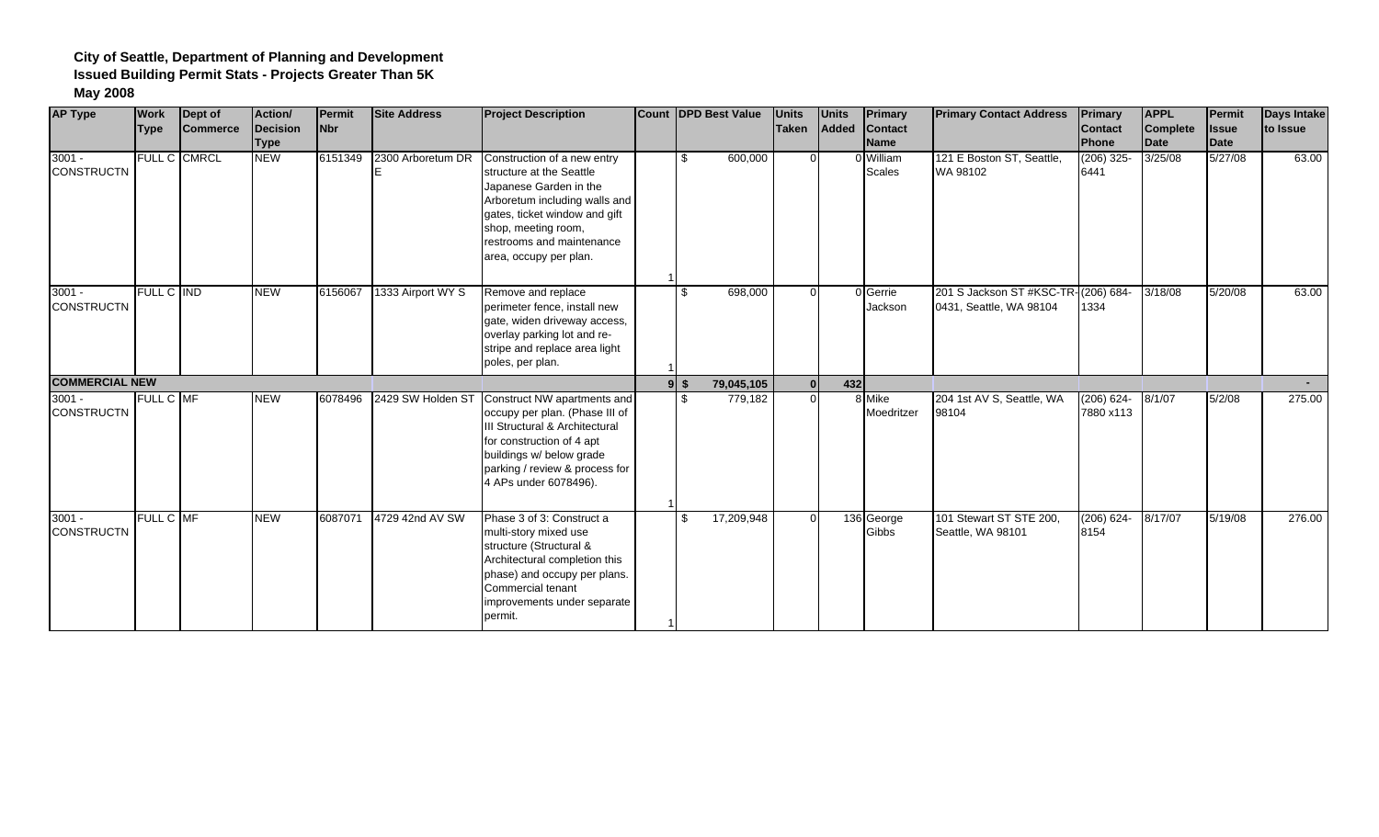| <b>AP Type</b>                | <b>Work</b><br><b>Type</b> | Dept of<br><b>Commerce</b> | Action/<br>Decision<br><b>Type</b> | Permit<br>N <sub>br</sub> | <b>Site Address</b> | <b>Project Description</b>                                                                                                                                                                                                        |                | <b>Count DPD Best Value</b> | <b>Units</b><br>Taken | <b>Units</b><br>Added | Primary<br><b>Contact</b><br><b>Name</b> | <b>Primary Contact Address</b>                                 | <b>Primary</b><br><b>Contact</b><br>Phone | <b>APPL</b><br><b>Complete</b><br>Date | Permit<br><b>Issue</b><br>Date | Days Intake<br>to Issue |
|-------------------------------|----------------------------|----------------------------|------------------------------------|---------------------------|---------------------|-----------------------------------------------------------------------------------------------------------------------------------------------------------------------------------------------------------------------------------|----------------|-----------------------------|-----------------------|-----------------------|------------------------------------------|----------------------------------------------------------------|-------------------------------------------|----------------------------------------|--------------------------------|-------------------------|
| $3001 -$<br><b>CONSTRUCTN</b> |                            | FULL C CMRCL               | <b>NEW</b>                         | 6151349                   | 2300 Arboretum DR   | Construction of a new entry<br>structure at the Seattle<br>Japanese Garden in the<br>Arboretum including walls and<br>gates, ticket window and gift<br>shop, meeting room,<br>restrooms and maintenance<br>area, occupy per plan. | £.             | 600,000                     |                       |                       | 0 William<br><b>Scales</b>               | 121 E Boston ST, Seattle,<br>WA 98102                          | $(206)$ 325-<br>6441                      | 3/25/08                                | 5/27/08                        | 63.00                   |
| $3001 -$<br><b>CONSTRUCTN</b> | FULL C IND                 |                            | <b>NEW</b>                         | 6156067                   | 1333 Airport WY S   | Remove and replace<br>perimeter fence, install new<br>gate, widen driveway access,<br>overlay parking lot and re-<br>stripe and replace area light<br>poles, per plan.                                                            | $\mathfrak{L}$ | 698,000                     | $\Omega$              |                       | 0 Gerrie<br>Jackson                      | 201 S Jackson ST #KSC-TR-(206) 684-<br>0431, Seattle, WA 98104 | 1334                                      | 3/18/08                                | 5/20/08                        | 63.00                   |
| <b>COMMERCIAL NEW</b>         |                            |                            |                                    |                           |                     |                                                                                                                                                                                                                                   | $9$ s          | 79,045,105                  | 0l                    | 432                   |                                          |                                                                |                                           |                                        |                                |                         |
| $3001 -$<br><b>CONSTRUCTN</b> | FULL C MF                  |                            | <b>NEW</b>                         | 6078496                   | 2429 SW Holden ST   | Construct NW apartments and<br>occupy per plan. (Phase III of<br>Il Structural & Architectural<br>for construction of 4 apt<br>buildings w/ below grade<br>parking / review & process for<br>4 APs under 6078496).                |                | 779,182                     | $\Omega$              |                       | 8 Mike<br>Moedritzer                     | 204 1st AV S, Seattle, WA<br>98104                             | $(206) 624 -$<br>7880 x113                | 8/1/07                                 | 5/2/08                         | 275.00                  |
| $3001 -$<br><b>CONSTRUCTN</b> | <b>FULL C MF</b>           |                            | <b>NEW</b>                         | 6087071                   | 4729 42nd AV SW     | Phase 3 of 3: Construct a<br>multi-story mixed use<br>structure (Structural &<br>Architectural completion this<br>phase) and occupy per plans.<br>Commercial tenant<br>improvements under separate<br>permit.                     | .ድ             | 17,209,948                  |                       |                       | 136 George<br>Gibbs                      | 101 Stewart ST STE 200,<br>Seattle, WA 98101                   | $(206) 624 -$<br>8154                     | 8/17/07                                | 5/19/08                        | 276.00                  |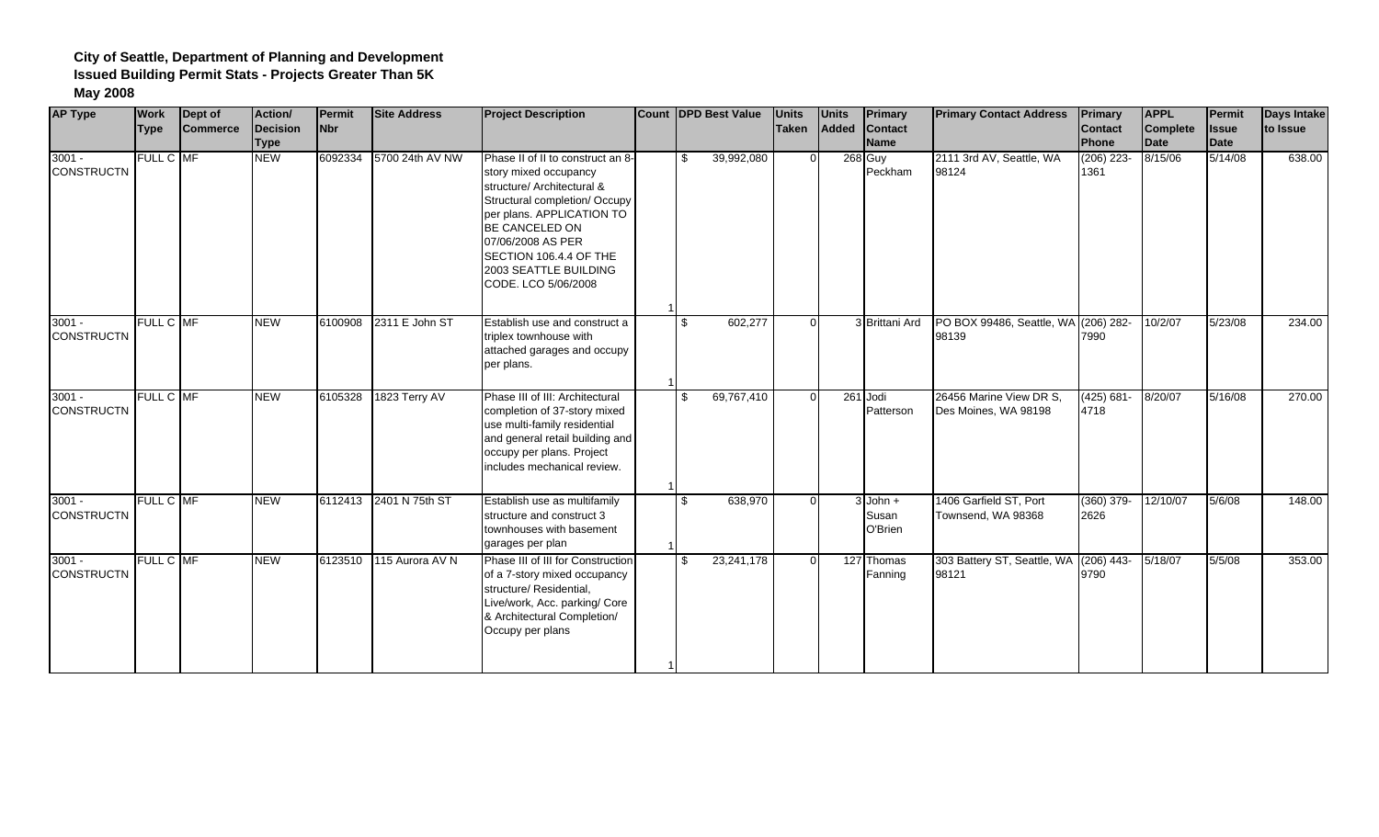| <b>AP Type</b>                | <b>Work</b>      | Dept of         | Action/                 | Permit     | <b>Site Address</b> | <b>Project Description</b>                                                                                                                                                                                                                                                     | <b>Count DPD Best Value</b> | <b>Units</b> | <b>Units</b> | Primary                        | <b>Primary Contact Address</b>                  | Primary                        | <b>APPL</b>             | Permit               | <b>Days Intake</b> |
|-------------------------------|------------------|-----------------|-------------------------|------------|---------------------|--------------------------------------------------------------------------------------------------------------------------------------------------------------------------------------------------------------------------------------------------------------------------------|-----------------------------|--------------|--------------|--------------------------------|-------------------------------------------------|--------------------------------|-------------------------|----------------------|--------------------|
|                               | <b>Type</b>      | <b>Commerce</b> | Decision<br><b>Type</b> | <b>Nbr</b> |                     |                                                                                                                                                                                                                                                                                |                             | Taken        | Added        | <b>Contact</b><br><b>Name</b>  |                                                 | <b>Contact</b><br><b>Phone</b> | <b>Complete</b><br>Date | <b>Issue</b><br>Date | to Issue           |
| $3001 -$<br><b>CONSTRUCTN</b> | FULL C MF        |                 | <b>NEW</b>              | 6092334    | 5700 24th AV NW     | Phase II of II to construct an 8-<br>story mixed occupancy<br>structure/ Architectural &<br>Structural completion/ Occupy<br>per plans. APPLICATION TO<br><b>BE CANCELED ON</b><br>07/06/2008 AS PER<br>SECTION 106.4.4 OF THE<br>2003 SEATTLE BUILDING<br>CODE. LCO 5/06/2008 | 39,992,080<br>\$            |              |              | 268 Guy<br>Peckham             | 2111 3rd AV, Seattle, WA<br>98124               | $(206)$ 223-<br>1361           | 8/15/06                 | 5/14/08              | 638.00             |
| $3001 -$<br><b>CONSTRUCTN</b> | <b>FULL C MF</b> |                 | <b>NEW</b>              | 6100908    | 2311 E John ST      | Establish use and construct a<br>triplex townhouse with<br>attached garages and occupy<br>per plans.                                                                                                                                                                           | 602,277<br>\$               | $\Omega$     |              | 3 Brittani Ard                 | PO BOX 99486, Seattle, WA (206) 282-<br>98139   | 7990                           | 10/2/07                 | 5/23/08              | 234.00             |
| $3001 -$<br><b>CONSTRUCTN</b> | FULL C MF        |                 | <b>NEW</b>              | 6105328    | 1823 Terry AV       | Phase III of III: Architectural<br>completion of 37-story mixed<br>use multi-family residential<br>and general retail building and<br>occupy per plans. Project<br>includes mechanical review.                                                                                 | 69,767,410<br>\$            | $\Omega$     |              | 261 Jodi<br>Patterson          | 26456 Marine View DR S,<br>Des Moines, WA 98198 | $(425) 681 -$<br>4718          | 8/20/07                 | 5/16/08              | 270.00             |
| $3001 -$<br><b>CONSTRUCTN</b> | <b>FULL C MF</b> |                 | <b>NEW</b>              | 6112413    | 2401 N 75th ST      | Establish use as multifamily<br>structure and construct 3<br>townhouses with basement<br>garages per plan                                                                                                                                                                      | 638,970<br>\$               | ∩            |              | $3$ John +<br>Susan<br>O'Brien | 1406 Garfield ST. Port<br>Townsend, WA 98368    | $(360)$ 379-<br>2626           | 12/10/07                | 5/6/08               | 148.00             |
| $3001 -$<br><b>CONSTRUCTN</b> | FULL C MF        |                 | <b>NEW</b>              | 6123510    | 115 Aurora AV N     | Phase III of III for Construction<br>of a 7-story mixed occupancy<br>structure/ Residential,<br>Live/work, Acc. parking/ Core<br>& Architectural Completion/<br>Occupy per plans                                                                                               | 23,241,178<br>-\$           | ∩            |              | 127 Thomas<br>Fanning          | 303 Battery ST, Seattle, WA<br>98121            | $(206)$ 443-<br>9790           | 5/18/07                 | 5/5/08               | 353.00             |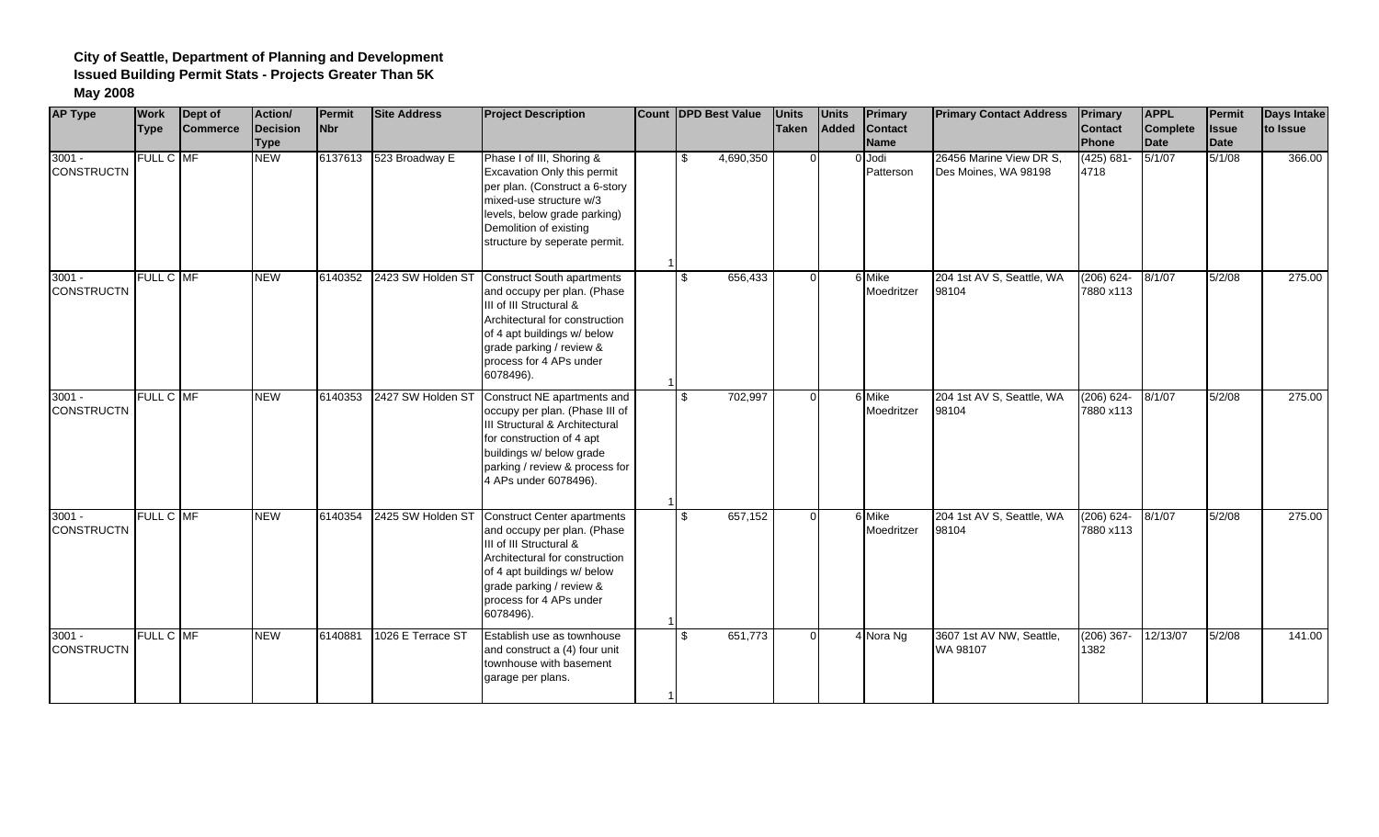| <b>AP Type</b>                | <b>Work</b> | Dept of<br><b>Commerce</b> | Action/<br>Decision | Permit<br><b>Nbr</b> | <b>Site Address</b>       | <b>Project Description</b>                                                                                                                                                                                                        | Count DPD Best Value | <b>Units</b><br><b>Taken</b> | <b>Units</b><br>Added | <b>Primary</b><br><b>Contact</b> | <b>Primary Contact Address</b>                  | <b>Primary</b>             | <b>APPL</b><br>Complete | Permit<br><b>Issue</b> | <b>Days Intake</b><br>to Issue |
|-------------------------------|-------------|----------------------------|---------------------|----------------------|---------------------------|-----------------------------------------------------------------------------------------------------------------------------------------------------------------------------------------------------------------------------------|----------------------|------------------------------|-----------------------|----------------------------------|-------------------------------------------------|----------------------------|-------------------------|------------------------|--------------------------------|
|                               | <b>Type</b> |                            | <b>Type</b>         |                      |                           |                                                                                                                                                                                                                                   |                      |                              |                       | <b>Name</b>                      |                                                 | Contact<br>Phone           | Date                    | <b>Date</b>            |                                |
| $3001 -$<br><b>CONSTRUCTN</b> | FULL C MF   |                            | <b>NEW</b>          |                      | 6137613 523 Broadway E    | Phase I of III, Shoring &<br>Excavation Only this permit<br>per plan. (Construct a 6-story<br>mixed-use structure w/3<br>levels, below grade parking)<br>Demolition of existing<br>structure by seperate permit.                  | 4,690,350<br>\$      | $\Omega$                     |                       | 0 Jodi<br>Patterson              | 26456 Marine View DR S,<br>Des Moines, WA 98198 | $(425) 681 -$<br>4718      | 5/1/07                  | 5/1/08                 | 366.00                         |
| $3001 -$<br><b>CONSTRUCTN</b> | FULL C MF   |                            | <b>NEW</b>          |                      | 6140352 2423 SW Holden ST | <b>Construct South apartments</b><br>and occupy per plan. (Phase<br>III of III Structural &<br>Architectural for construction<br>of 4 apt buildings w/ below<br>grade parking / review &<br>process for 4 APs under<br>6078496).  | 656,433<br>\$        | $\Omega$                     |                       | 6 Mike<br>Moedritzer             | 204 1st AV S, Seattle, WA<br>98104              | $(206) 624 -$<br>7880 x113 | 8/1/07                  | 5/2/08                 | 275.00                         |
| $3001 -$<br><b>CONSTRUCTN</b> | FULL C MF   |                            | <b>NEW</b>          | 6140353              | 2427 SW Holden ST         | Construct NE apartments and<br>occupy per plan. (Phase III of<br>III Structural & Architectural<br>for construction of 4 apt<br>buildings w/ below grade<br>parking / review & process for<br>4 APs under 6078496).               | 702,997<br>\$        | $\Omega$                     |                       | 6 Mike<br>Moedritzer             | 204 1st AV S, Seattle, WA<br>98104              | $(206) 624 -$<br>7880 x113 | 8/1/07                  | 5/2/08                 | 275.00                         |
| $3001 -$<br><b>CONSTRUCTN</b> | FULL C MF   |                            | <b>NEW</b>          | 6140354              | 2425 SW Holden ST         | <b>Construct Center apartments</b><br>and occupy per plan. (Phase<br>III of III Structural &<br>Architectural for construction<br>of 4 apt buildings w/ below<br>grade parking / review &<br>process for 4 APs under<br>6078496). | 657,152<br>\$        | $\Omega$                     |                       | 6 Mike<br>Moedritzer             | 204 1st AV S, Seattle, WA<br>98104              | $(206) 624 -$<br>7880 x113 | 8/1/07                  | 5/2/08                 | 275.00                         |
| $3001 -$<br><b>CONSTRUCTN</b> | FULL C MF   |                            | <b>NEW</b>          | 6140881              | 1026 E Terrace ST         | Establish use as townhouse<br>and construct a (4) four unit<br>townhouse with basement<br>garage per plans.                                                                                                                       | 651,773<br>\$        | $\Omega$                     |                       | 4 Nora Ng                        | 3607 1st AV NW, Seattle,<br>WA 98107            | $(206)$ 367-<br>1382       | 12/13/07                | 5/2/08                 | 141.00                         |